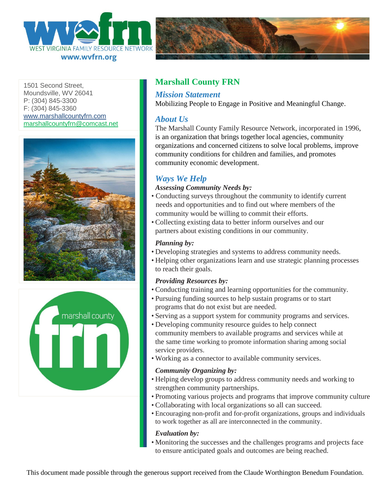



1501 Second Street Moundsville, WV 26041 P: (304) 845-3300 F: (304) 845-3360 [www.marshallcountyfrn.com](http://www.marshallcountyfrn.com/) [marshallcountyfrn@comcast.net](mailto:marshallcountyfrn@comcast.net)





# **Marshall County FRN**

## *Mission Statement*

Mobilizing People to Engage in Positive and Meaningful Change.

## *About Us*

The Marshall County Family Resource Network, incorporated in 1996, is an organization that brings together local agencies, community organizations and concerned citizens to solve local problems, improve community conditions for children and families, and promotes community economic development.

# *Ways We Help*

#### *Assessing Community Needs by:*

- Conducting surveys throughout the community to identify current needs and opportunities and to find out where members of the community would be willing to commit their efforts.
- Collecting existing data to better inform ourselves and our partners about existing conditions in our community.

### *Planning by:*

- Developing strategies and systems to address community needs.
- Helping other organizations learn and use strategic planning processes to reach their goals.

### *Providing Resources by:*

- Conducting training and learning opportunities for the community.
- Pursuing funding sources to help sustain programs or to start programs that do not exist but are needed.
- Serving as a support system for community programs and services.
- Developing community resource guides to help connect community members to available programs and services while at the same time working to promote information sharing among social service providers.
- Working as a connector to available community services.

#### *Community Organizing by:*

- Helping develop groups to address community needs and working to strengthen community partnerships.
- Promoting various projects and programs that improve community culture
- Collaborating with local organizations so all can succeed.
- Encouraging non-profit and for-profit organizations, groups and individuals to work together as all are interconnected in the community.

#### *Evaluation by:*

• Monitoring the successes and the challenges programs and projects face to ensure anticipated goals and outcomes are being reached.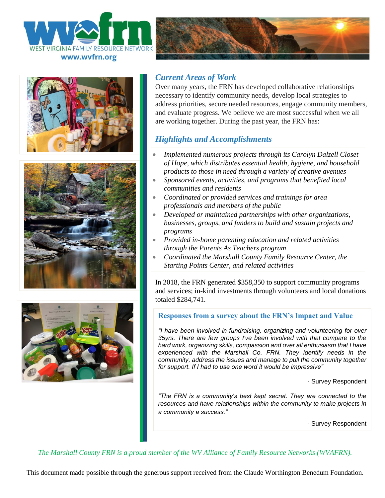









## *Current Areas of Work*

Over many years, the FRN has developed collaborative relationships necessary to identify community needs, develop local strategies to address priorities, secure needed resources, engage community members, and evaluate progress. We believe we are most successful when we all are working together. During the past year, the FRN has:

# *Highlights and Accomplishments*

- *Implemented numerous projects through its Carolyn Dalzell Closet of Hope, which distributes essential health, hygiene, and household products to those in need through a variety of creative avenues*
- *Sponsored events, activities, and programs that benefited local communities and residents*
- *Coordinated or provided services and trainings for area professionals and members of the public*
- *Developed or maintained partnerships with other organizations, businesses, groups, and funders to build and sustain projects and programs*
- *Provided in-home parenting education and related activities through the Parents As Teachers program*
- *Coordinated the Marshall County Family Resource Center, the Starting Points Center, and related activities*

In 2018, the FRN generated \$358,350 to support community programs and services; in-kind investments through volunteers and local donations totaled \$284,741.

### **Responses from a survey about the FRN's Impact and Value**

*"I have been involved in fundraising, organizing and volunteering for over 35yrs. There are few groups I've been involved with that compare to the hard work, organizing skills, compassion and over all enthusiasm that I have experienced with the Marshall Co. FRN. They identify needs in the community, address the issues and manage to pull the community together for support. If I had to use one word it would be impressive"*

- Survey Respondent

*"The FRN is a community's best kept secret. They are connected to the resources and have relationships within the community to make projects in a community a success."*

- Survey Respondent

*The Marshall County FRN is a proud member of the WV Alliance of Family Resource Networks (WVAFRN).*

This document made possible through the generous support received from the Claude Worthington Benedum Foundation.